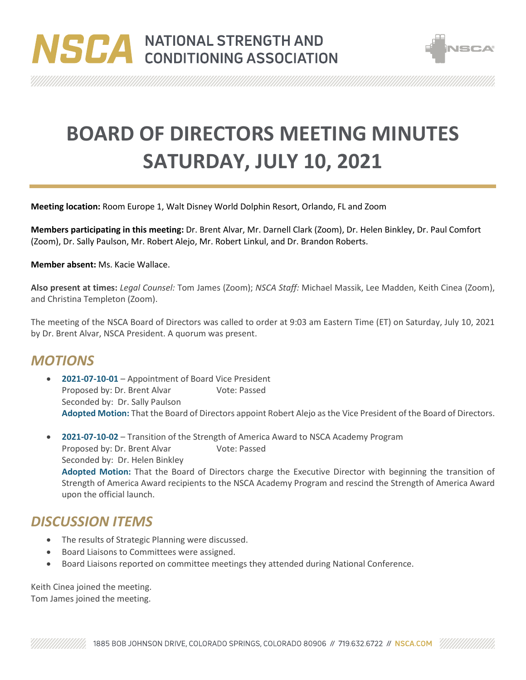



**BOARD OF DIRECTORS MEETING MINUTES SATURDAY, JULY 10, 2021**

**Meeting location:** Room Europe 1, Walt Disney World Dolphin Resort, Orlando, FL and Zoom

**Members participating in this meeting:** Dr. Brent Alvar, Mr. Darnell Clark (Zoom), Dr. Helen Binkley, Dr. Paul Comfort (Zoom), Dr. Sally Paulson, Mr. Robert Alejo, Mr. Robert Linkul, and Dr. Brandon Roberts.

**Member absent:** Ms. Kacie Wallace.

**Also present at times:** *Legal Counsel:* Tom James (Zoom); *NSCA Staff:* Michael Massik, Lee Madden, Keith Cinea (Zoom), and Christina Templeton (Zoom).

The meeting of the NSCA Board of Directors was called to order at 9:03 am Eastern Time (ET) on Saturday, July 10, 2021 by Dr. Brent Alvar, NSCA President. A quorum was present.

## *MOTIONS*

- **2021-07-10-01** Appointment of Board Vice President Proposed by: Dr. Brent Alvar Vote: Passed Seconded by: Dr. Sally Paulson **Adopted Motion:** That the Board of Directors appoint Robert Alejo as the Vice President of the Board of Directors.
- **2021-07-10-02** Transition of the Strength of America Award to NSCA Academy Program Proposed by: Dr. Brent Alvar Vote: Passed Seconded by: Dr. Helen Binkley **Adopted Motion:** That the Board of Directors charge the Executive Director with beginning the transition of Strength of America Award recipients to the NSCA Academy Program and rescind the Strength of America Award upon the official launch.

## *DISCUSSION ITEMS*

- The results of Strategic Planning were discussed.
- Board Liaisons to Committees were assigned.
- Board Liaisons reported on committee meetings they attended during National Conference.

Keith Cinea joined the meeting. Tom James joined the meeting.